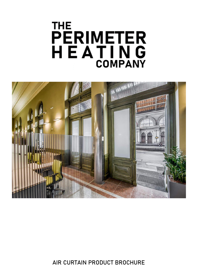# **THE** PERIMETER<br>H E A T I N G **COMPANY**



**AIR CURTAIN PRODUCT BROCHURE**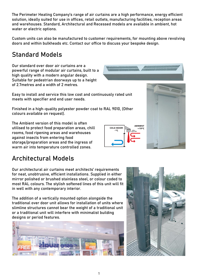1

The Perimeter Heating Company's range of air curtains are a high performance, energy efficient solution, ideally suited for use in offices, retail outlets, manufacturing facilities, reception areas and warehouses. Standard, Architectural and Recessed models are available in ambient, hot water or electric options.

Custom units can also be manufactured to customer requirements, for mounting above revolving doors and within bulkheads etc. Contact our office to discuss your bespoke design.

**COLD ROOM** 

### **Standard Models**

Our standard over door air curtains are a powerful range of modular air curtains, built to a high quality with a modern angular design. Suitable for pedestrian doorways up to a height of 2.7metres and a width of 2 metres.

Easy to install and service this low cost and continuously rated unit meets with specifier and end user needs.

Finished in a high-quality polyester powder coat to RAL 9010, (Other colours available on request).

The Ambient version of this model is often utilised to protect food preparation areas, chill rooms, food ripening areas and warehouses against insects from entering food storage/preparation areas and the ingress of warm air into temperature controlled zones.

### **Architectural Models**

Our architectural air curtains meet architects' requirements for neat, unobtrusive, efficient installations. Supplied in either mirror polished or brushed stainless steel, or colour coded to most RAL colours. The stylish softened lines of this unit will fit in well with any contemporary interior.

The addition of a vertically mounted option alongside the traditional over door unit allows for installation of units where slimline structures cannot bear the weight of a traditional unit or a traditional unit will interfere with minimalist building designs or period features.









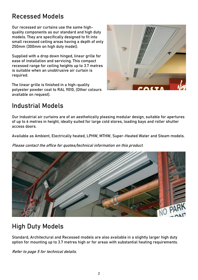### **Recessed Models**

Our recessed air curtains use the same highquality components as our standard and high duty models. They are specifically designed to fit into small recessed ceiling areas having a depth of only 250mm (300mm on high duty model).

Supplied with a drop down hinged, linear grille for ease of installation and servicing. This compact recessed range for ceiling heights up to 3.7 metres is suitable when an unobtrusive air curtain is required.

The linear grille is finished in a high-quality polyester powder coat to RAL 9010, (Other colours available on request).



### **Industrial Models**

Our Industrial air curtains are of an aesthetically pleasing modular design, suitable for apertures of up to 6 metres in height, ideally suited for large cold stores, loading bays and roller shutter access doors.

Available as Ambient, Electrically heated, LPHW, MTHW, Super-Heated Water and Steam models.

Please contact the office for quotes/technical information on this product.



# **High Duty Models**

Standard, Architectural and Recessed models are also available in a slightly larger high duty option for mounting up to 3.7 metres high or for areas with substantial heating requirements.

Refer to page 5 for technical details.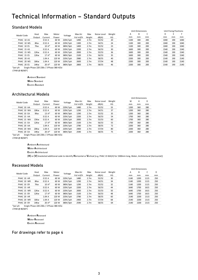# Technical Information - Standard Outputs

#### **Standard Models**

|                                                                                                                                          |        |         |       |          |          |                  |             |        | Unit Dimensions |     |     | Unit Fixing Positions |     |      |  |
|------------------------------------------------------------------------------------------------------------------------------------------|--------|---------|-------|----------|----------|------------------|-------------|--------|-----------------|-----|-----|-----------------------|-----|------|--|
| Model Code<br>PHAC 10 AS<br>PHAC 10 WS<br>PHAC 10 ES<br>PHAC 15 AS<br>PHAC 15 WS<br>PHAC 15 ES<br>PHAC 20 AS<br>PHAC 20 WS<br>PHAC 20 ES | Heat   | Max     | Motor | Voltage  | Max Air  | Max              | Noise Level | Weight | A               | B   | C   | D                     | E   |      |  |
|                                                                                                                                          | Output | Current | Power |          | Vol m3/h | Height           | dB(A)       | КG     | mm              | mm  | mm  | mm                    | mm  | mm   |  |
|                                                                                                                                          |        | 0.52A   | 60 W  | 220V/1ph | 1490     | 2.7 <sub>m</sub> | 55/52       | 20     | 1100            | 300 | 200 | 1040                  | 190 | 1040 |  |
|                                                                                                                                          | 8Kw    | 0.52A   | 60 W  | 220V/1ph | 1300     | 2.7m             | 54/51       | 24     | 1100            | 300 | 200 | 1040                  | 190 | 1040 |  |
|                                                                                                                                          | 7Kw    | $10A*$  | 60 W  | 380V/3ph | 1400     | 2.7 <sub>m</sub> | 55/52       | 23     | 1100            | 300 | 200 | 1040                  | 190 | 1040 |  |
|                                                                                                                                          |        | 0.52A   | 60 W  | 220V/1ph | 2200     | 2.7 <sub>m</sub> | 56/53       | 30     | 1600            | 300 | 200 | 1540                  | 190 | 1540 |  |
|                                                                                                                                          | 12Kw   | 0.52A   | 60 W  | 220V/1ph | 2000     | 2.7 <sub>m</sub> | 55/53       | 36     | 1600            | 300 | 200 | 1540                  | 190 | 1540 |  |
|                                                                                                                                          | 12Kw   | $17A*$  | 60 W  | 380V/3ph | 2100     | 2.7 <sub>m</sub> | 56/53       | 35     | 1600            | 300 | 200 | 1540                  | 190 | 1540 |  |
|                                                                                                                                          |        | 1.04 A  | 120 W | 220V/1ph | 2980     | 2.7 <sub>m</sub> | 58/55       | 40     | 2200            | 300 | 200 | 2140                  | 190 | 2140 |  |
|                                                                                                                                          | 16Kw   | 1.04 A  | 120 W | 220V/1ph | 2600     | 2.7 <sub>m</sub> | 57/54       | 48     | 2200            | 300 | 200 | 2140                  | 190 | 2140 |  |
|                                                                                                                                          | 14Kw   | $20A*$  | 120 W | 380V/3ph | 2800     | 2.7 <sub>m</sub> | 58/55       | 46     | 2200            | 300 | 200 | 2140                  | 190 | 2140 |  |

\*per ph Single Phase  $220-230v/3$  Phase  $380-415v$ LTHW @ 80/60°C

**Ambient Standard** 

**Water Standard** 

Electric Standard

#### **Architectural Models**

|            |        |         |       |          |          |                  |             |        |      | Unit Dimensions |     |
|------------|--------|---------|-------|----------|----------|------------------|-------------|--------|------|-----------------|-----|
| Model Code | Heat   | Max     | Motor | Voltage  | Max Air  | Max              | Noise Level | Weight | W    | н               | D   |
|            | Output | Current | Power |          | Vol m3/h | Height           | dB(A)       | КG     | mm   | mm              | mm  |
| PHAC 10 AA |        | 0.52A   | 60 W  | 220V/1ph | 1480     | 2.7 <sub>m</sub> | 55/52       | 33     | 1200 | 360             | 280 |
| PHAC 10 WA | 10Kw   | 0.52A   | 60 W  | 220V/1ph | 1290     | 2.7 <sub>m</sub> | 54/51       | 37     | 1200 | 360             | 280 |
| PHAC 10 EA | 9Kw    | $13A*$  | 60 W  | 380V/3ph | 1290     | 2.7 <sub>m</sub> | 55/52       | 35     | 1200 | 360             | 280 |
| PHAC 15 AA |        | 0.52A   | 60 W  | 220V/1ph | 2200     | 2.7 <sub>m</sub> | 56/53       | 54     | 1700 | 360             | 280 |
| PHAC 15 WA | 15Kw   | 0.52A   | 60 W  | 220V/1ph | 2000     | 2.7 <sub>m</sub> | 55/53       | 60     | 1700 | 360             | 280 |
| PHAC 15 EA | 12Kw   | $17A*$  | 60 W  | 380V/3ph | 2100     | 2.7 <sub>m</sub> | 56/53       | 55     | 1700 | 360             | 280 |
| PHAC 20 AA |        | 1.04 A  | 120 W | 220V/1ph | 2780     | 2.7 <sub>m</sub> | 58/55       | 72     | 2200 | 360             | 280 |
| PHAC 20 WA | 20Kw   | 1.04 A  | 120 W | 220V/1ph | 2400     | 2.7 <sub>m</sub> | 57/54       | 80     | 2200 | 360             | 280 |
| PHAC 20 EA | 14Kw   | $20A*$  | 120 W | 380V/3ph | 2590     | 2.7 <sub>m</sub> | 58/55       | 75     | 2200 | 360             | 280 |
|            |        |         |       |          |          |                  |             |        |      |                 |     |

Single Phase 220-230v / 3 Phase 380-415v \*per ph

LTHW @ 80/60°C

Ambient Architectural

Water Architectural

Electric Architectural

(H) or (V) bracketed additional code to identify Horizontal or Vertical [e.g. PHAC 15 WA(H) for 1500mm long, Water, Architectural (Horizontal)]

#### **Recessed Models**

|            |        |         |       |          |          |                  |             |        | Unit Dimensions |      |      |     |
|------------|--------|---------|-------|----------|----------|------------------|-------------|--------|-----------------|------|------|-----|
| Model Code | Heat   | Max     | Motor | Voltage  | Max Air  | Max              | Noise Level | Weight | Α               | В    | U    | D   |
|            | Output | Current | Power |          | Vol m3/h | Height           | dB(A)       | KG     | mm              | mm   | mm   | mm  |
| PHAC 10 AR |        | 0.52A   | 60 W  | 220V/1ph | 1480     | 2.7 <sub>m</sub> | 55/52       | 30     | 1140            | 1200 | 1115 | 250 |
| PHAC 10 WR | 8Kw    | 0.52A   | 60 W  | 220V/1ph | 1290     | 2.7 <sub>m</sub> | 54/51       | 34     | 1140            | 1200 | 1115 | 250 |
| PHAC 10 ER | 7Kw    | $10A*$  | 60 W  | 380V/3ph | 1290     | 2.7 <sub>m</sub> | 55/52       | 32     | 1140            | 1200 | 1115 | 250 |
| PHAC 15 AR |        | 0.52A   | 60 W  | 220V/1ph | 2200     | 2.7 <sub>m</sub> | 56/53       | 44     | 1640            | 1700 | 1615 | 250 |
| PHAC 15 WR | 12Kw   | 0.52A   | 60 W  | 220V/1ph | 2000     | 2.7 <sub>m</sub> | 55/53       | 50     | 1640            | 1700 | 1615 | 250 |
| PHAC 15 ER | 12Kw   | $17A*$  | 60 W  | 380V/3ph | 2100     | 2.7 <sub>m</sub> | 56/53       | 48     | 1640            | 1700 | 1615 | 250 |
| PHAC 20 AR |        | 1.04 A  | 120 W | 220V/1ph | 2780     | 2.7 <sub>m</sub> | 58/55       | 60     | 2140            | 2200 | 2115 | 250 |
| PHAC 20 WR | 16Kw   | 1.04 A  | 120 W | 220V/1ph | 2400     | 2.7 <sub>m</sub> | 57/54       | 68     | 2140            | 2200 | 2115 | 250 |
| PHAC 20 ER | 14Kw   | $20A*$  | 120 W | 380V/3ph | 2590     | 2.7 <sub>m</sub> | 58/55       | 64     | 2140            | 2200 | 2115 | 250 |
|            |        |         |       |          |          |                  |             |        |                 |      |      |     |

\*per ph Single Phase 220-230v / 3 Phase 380-415v LTHW @ 80/60°C

> **Ambient Recessed Water Recessed** Electric Recessed

#### For drawings refer to page 4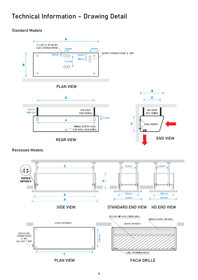### **Technical Information – Drawing Detail**

### **Standard Models**



#### **Recessed Models**

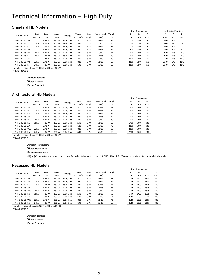### **Technical Information - High Duty**

#### **Standard HD Models**

|               |        |         |       |          |          |                  |             |        | Unit Dimensions |     |                | Unit Fixing Positions |     |      |
|---------------|--------|---------|-------|----------|----------|------------------|-------------|--------|-----------------|-----|----------------|-----------------------|-----|------|
| Model Code    | Heat   | Max     | Motor | Voltage  | Max Air  | Max              | Noise Level | Weight | А               | B   | $\overline{ }$ | D                     |     |      |
|               | Output | Current | Power |          | Vol m3/h | Height           | dB(A)       | КG     | mm              | mm  | mm             | mm                    | mm  | mm   |
| PHAC-HD 10 AS |        | 1.39 A  | 180 W | 220V/1ph | 1810     | 3.7 <sub>m</sub> | 69/66       | 25     | 1100            | 350 | 250            | 1040                  | 245 | 1040 |
| PHAC-HD 10 WS | 11Kw   | 1.39 A  | 180 W | 220V/1ph | 1660     | 3.7 <sub>m</sub> | 68/65       | 29     | 1100            | 350 | 250            | 1040                  | 245 | 1040 |
| PHAC-HD 10 ES | 12Kw   | $17A*$  | 180 W | 380V/3ph | 1800     | 3.7 <sub>m</sub> | 69/66       | 28     | 1100            | 350 | 250            | 1040                  | 245 | 1040 |
| PHAC-HD 15 AS |        | 1.39 A  | 180 W | 220V/1ph | 2900     | 3.7 <sub>m</sub> | 71/68       | 35     | 1600            | 350 | 250            | 1540                  | 245 | 1540 |
| PHAC-HD 15 WS | 16Kw   | 1.39 A  | 180 W | 220V/1ph | 2700     | 3.7 <sub>m</sub> | 70/67       | 41     | 1600            | 350 | 250            | 1540                  | 245 | 1540 |
| PHAC-HD 15 ES | 18Kw   | $26A*$  | 180 W | 380V/3ph | 2640     | 3.7 <sub>m</sub> | 71/68       | 40     | 1600            | 350 | 250            | 1540                  | 245 | 1540 |
| PHAC-HD 20 AS |        | 2.78 A  | 360 W | 220V/1ph | 3620     | 3.7 <sub>m</sub> | 72/69       | 50     | 2200            | 350 | 250            | 2140                  | 245 | 2140 |
| PHAC-HD 20 WS | 22Kw   | 2.78 A  | 360 W | 220V/1ph | 3320     | 3.7 <sub>m</sub> | 71/68       | 58     | 2200            | 350 | 250            | 2140                  | 245 | 2140 |
| PHAC-HD 20 ES | 24Kw   | 35 $A*$ | 360 W | 380V/3ph | 3600     | 3.7 <sub>m</sub> | 72/69       | 56     | 2200            | 350 | 250            | 2140                  | 245 | 2140 |
|               |        |         |       |          |          |                  |             |        |                 |     |                |                       |     |      |

**Unit Dimensions** 

\*per ph Single Phase 220-230v / 3 Phase 380-415v LTHW @ 80/60°C

**Ambient Standard** 

**Water Standard** 

Electric Standard

#### **Architectural HD Models**

| Model Code    | Heat   | Max              | Motor<br>Voltage |          | Max Air  | Max              | Noise Level | Weight | W    | н   | D   |
|---------------|--------|------------------|------------------|----------|----------|------------------|-------------|--------|------|-----|-----|
|               | Output | Current<br>Power |                  |          | Vol m3/h | Height           | dB(A)       | КG     | mm   | mm  | mm  |
| PHAC-HD 10 AA |        | 1.39 A           | 180 W            | 220V/1ph | 1810     | 3.7 <sub>m</sub> | 69/66       | 33     | 1200 | 360 | 280 |
| PHAC-HD 10 WA | 11Kw   | 1.39 A           | 180 W            | 220V/1ph | 1660     | 3.7 <sub>m</sub> | 68/65       | 37     | 1200 | 360 | 280 |
| PHAC-HD 10 EA | 12Kw   | $17A*$           | 180 W            | 380V/3ph | 1800     | 3.7 <sub>m</sub> | 69/66       | 35     | 1200 | 360 | 280 |
| PHAC-HD 15 AA |        | 1.39 A           | 180 W            | 220V/1ph | 2900     | 3.7 <sub>m</sub> | 71/68       | 54     | 1700 | 360 | 280 |
| PHAC-HD 15 WA | 16Kw   | 1.39 A           | 180 W            | 220V/1ph | 2700     | 3.7 <sub>m</sub> | 70/67       | 60     | 1700 | 360 | 280 |
| PHAC-HD 15 EA | 18Kw   | $26A*$           | 180 W            | 380V/3ph | 2640     | 3.7 <sub>m</sub> | 71/68       | 55     | 1700 | 360 | 280 |
| PHAC-HD 20 AA |        | 2.78 A           | 360 W            | 220V/1ph | 3620     | 3.7 <sub>m</sub> | 72/69       | 72     | 2200 | 360 | 280 |
| PHAC-HD 20 WA | 22Kw   | 2.78 A           | 360 W            | 220V/1ph | 3320     | 3.7 <sub>m</sub> | 71/68       | 80     | 2200 | 360 | 280 |
| PHAC-HD 20 EA | 24Kw   | 35 A*            | 360 W            | 380V/3ph | 3600     | 3.7 <sub>m</sub> | 72/69       | 75     | 2200 | 360 | 280 |
|               |        |                  |                  |          |          |                  |             |        |      |     |     |

\*per ph Single Phase 220-230v / 3 Phase 380-415v

LTHW @ 80/60°C

Ambient Architectural

Water Architectural

Electric Architectural

(H) or (V) bracketed additional code to identify Horizontal or Vertical [e.g. PHAC-HD 15 WA(H) for 1500mm long, Water, Architectural (Horizontal)]

#### Recessed HD Models

|               |        |         |       |          |          |                  |             |        |      | Unit Dimensions |      |     |  |  |
|---------------|--------|---------|-------|----------|----------|------------------|-------------|--------|------|-----------------|------|-----|--|--|
| Model Code    | Heat   | Max     | Motor | Voltage  | Max Air  | Max              | Noise Level | Weight | A    | в               | C    | D   |  |  |
|               | Output | Current | Power |          | Vol m3/h | Height           | dB(A)       | КG     | mm   | mm              | mm   | mm  |  |  |
| PHAC-HD 10 AR |        | 1.39 A  | 180 W | 220V/1ph | 1810     | 3.7 <sub>m</sub> | 69/66       | 32     | 1140 | 1200            | 1115 | 300 |  |  |
| PHAC-HD 10 WR | 11Kw   | 1.39 A  | 180 W | 220V/1ph | 1660     | 3.7 <sub>m</sub> | 68/65       | 36     | 1140 | 1200            | 1115 | 300 |  |  |
| PHAC-HD 10 ER | 12Kw   | $17A*$  | 180 W | 380V/3ph | 1800     | 3.7 <sub>m</sub> | 69/66       | 34     | 1140 | 1200            | 1115 | 300 |  |  |
| PHAC-HD 15 AR |        | 1.39 A  | 180 W | 220V/1ph | 2900     | 3.7 <sub>m</sub> | 71/68       | 46     | 1640 | 1700            | 1615 | 300 |  |  |
| PHAC-HD 15 WR | 16Kw   | 1.39 A  | 180 W | 220V/1ph | 2700     | 3.7 <sub>m</sub> | 70/67       | 52     | 1640 | 1700            | 1615 | 300 |  |  |
| PHAC-HD 15 ER | 18Kw   | $26A*$  | 180 W | 380V/3ph | 2640     | 3.7 <sub>m</sub> | 71/68       | 50     | 1640 | 1700            | 1615 | 300 |  |  |
| PHAC-HD 20 AR |        | 2.78 A  | 360 W | 220V/1ph | 3620     | 3.7 <sub>m</sub> | 72/69       | 64     | 2140 | 2200            | 2115 | 300 |  |  |
| PHAC-HD 20 WR | 22Kw   | 2.78 A  | 360 W | 220V/1ph | 3320     | 3.7 <sub>m</sub> | 71/68       | 72     | 2140 | 2200            | 2115 | 300 |  |  |
| PHAC-HD 20 ER | 24Kw   | 35 A*   | 360 W | 380V/3ph | 3600     | 3.7 <sub>m</sub> | 72/69       | 68     | 2140 | 2200            | 2115 | 300 |  |  |
|               |        |         |       |          |          |                  |             |        |      |                 |      |     |  |  |

\*per ph Single Phase 220-230v / 3 Phase 380-415v LTHW @ 80/60°C

> **Ambient Standard Water Standard** Electric Standard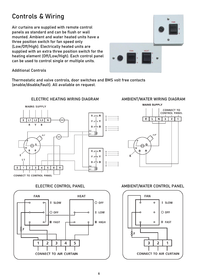### **Controls & Wiring**

Air curtains are supplied with remote control panels as standard and can be flush or wall mounted. Ambient and water heated units have a three position switch for fan speed only (Low/Off/High). Electrically heated units are supplied with an extra three position switch for the heating element (Off/Low/High). Each control panel can be used to control single or multiple units.



#### **Additional Controls**

Thermostatic and valve controls, door switches and BMS volt free contacts (enable/disable/fault). All available on request.

#### **MAINS SUPPLY**  $R_{\overline{q}}$  $\overline{\phantom{a}}$  R  $E$  $L1$   $L2$   $L3$  $\overline{\mathsf{N}}$ †շ Y  $Y \bar{g}$  $\overline{\mathsf{R}}$  $\mathbf{Y}$  $\overline{B}$  $R_{\overline{a}}$  $\vdash$  R  $\mathbb{B}$  $\overline{A1}$  $411F$ Ŧ G ᠬᡉ  $\overline{B}$  $\overline{R}$  $R_{a}$  $\overline{\phantom{a}}$  R F  $\overline{y}$  $Y_{\bar{z}}$  $L<sub>1</sub>$  $R_{\overline{p}}$ l–∝ B  $\frac{1}{R}$  $\mathsf E$  $\overline{2}$  $\overline{5}$  $\overline{\mathbf{8}}$  $\overline{9}$  $\mathbf{1}$  $\overline{\mathbf{3}}$ 4 €  $\overline{A1}$ **CONNECT TO CONTROL PANEL**

#### ELECTRIC HEATING WIRING DIAGRAM AMBIENT/WATER WIRING DIAGRAM





### ELECTRIC CONTROL PANEL AMBIENT/WATER CONTROL PANEL